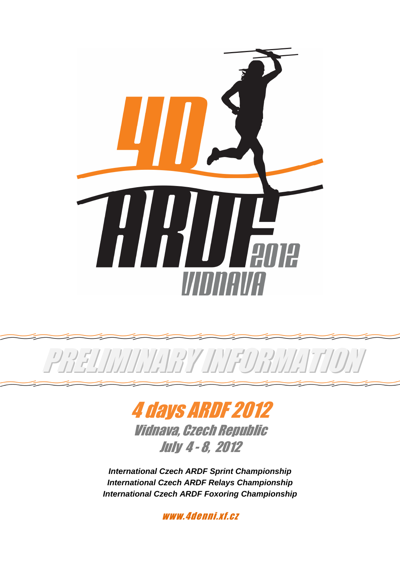



PRELIMINARY INFORMATION

Vidnava, Czech Republic July 4 - 8, 2012

**International Czech ARDF Sprint Championship International Czech ARDF Relays Championship International Czech ARDF Foxoring Championship** 

www.4denni.xf.cz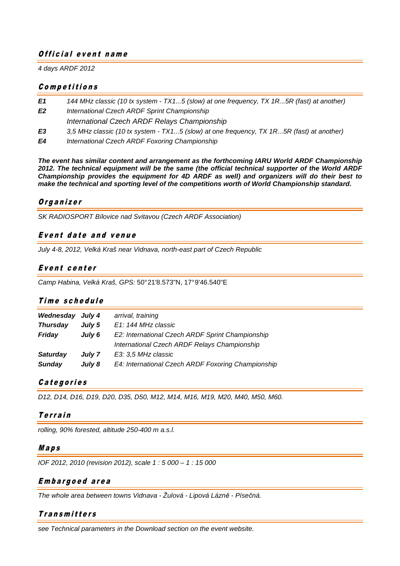## Official event name

4 days ARDF 2012

#### C <sup>o</sup> <sup>m</sup> p <sup>e</sup> t <sup>i</sup> t <sup>i</sup> <sup>o</sup> <sup>n</sup> <sup>s</sup>

- **E1** 144 MHz classic (10 tx system TX1...5 (slow) at one frequency, TX 1R...5R (fast) at another)
- **E2** International Czech ARDF Sprint Championship International Czech ARDF Relays Championship
- **E3** 3,5 MHz classic (10 tx system TX1...5 (slow) at one frequency, TX 1R...5R (fast) at another)
- **E4** International Czech ARDF Foxoring Championship

**The event has similar content and arrangement as the forthcoming IARU World ARDF Championship 2012. The technical equipment will be the same (the official technical supporter of the World ARDF Championship provides the equipment for 4D ARDF as well) and organizers will do their best to make the technical and sporting level of the competitions worth of World Championship standard.** 

## Organizer

SK RADIOSPORT Bílovice nad Svitavou (Czech ARDF Association)

## Event date and venue

July 4-8, 2012, Velká Kraš near Vidnava, north-east part of Czech Republic

## Event center

Camp Habina, Velká Kraš, GPS: 50° 21'8.573"N, 17° 9'46.540"E

#### Time schedule

| Wednesday       | July 4 | arrival, training                                  |
|-----------------|--------|----------------------------------------------------|
| <b>Thursday</b> | July 5 | E1: 144 MHz classic                                |
| Friday          | July 6 | E2: International Czech ARDF Sprint Championship   |
|                 |        | International Czech ARDF Relays Championship       |
| <b>Saturday</b> | July 7 | E3: 3,5 MHz classic                                |
| <b>Sunday</b>   | July 8 | E4: International Czech ARDF Foxoring Championship |

# Categories

D12, D14, D16, D19, D20, D35, D50, M12, M14, M16, M19, M20, M40, M50, M60.

# **Terrain**

rolling, 90% forested, altitude 250-400 m a.s.l.

#### <sup>M</sup> <sup>a</sup> p <sup>s</sup>

IOF 2012, 2010 (revision 2012), scale 1 : 5 000 – 1 : 15 000

# <sup>E</sup> <sup>m</sup> b <sup>a</sup> <sup>r</sup> g <sup>o</sup> <sup>e</sup> d <sup>a</sup> <sup>r</sup> <sup>e</sup> <sup>a</sup>

The whole area between towns Vidnava - Žulová - Lipová Lázn*ě* - Píse*č*ná.

# **Transmitters**

see Technical parameters in the Download section on the event website.